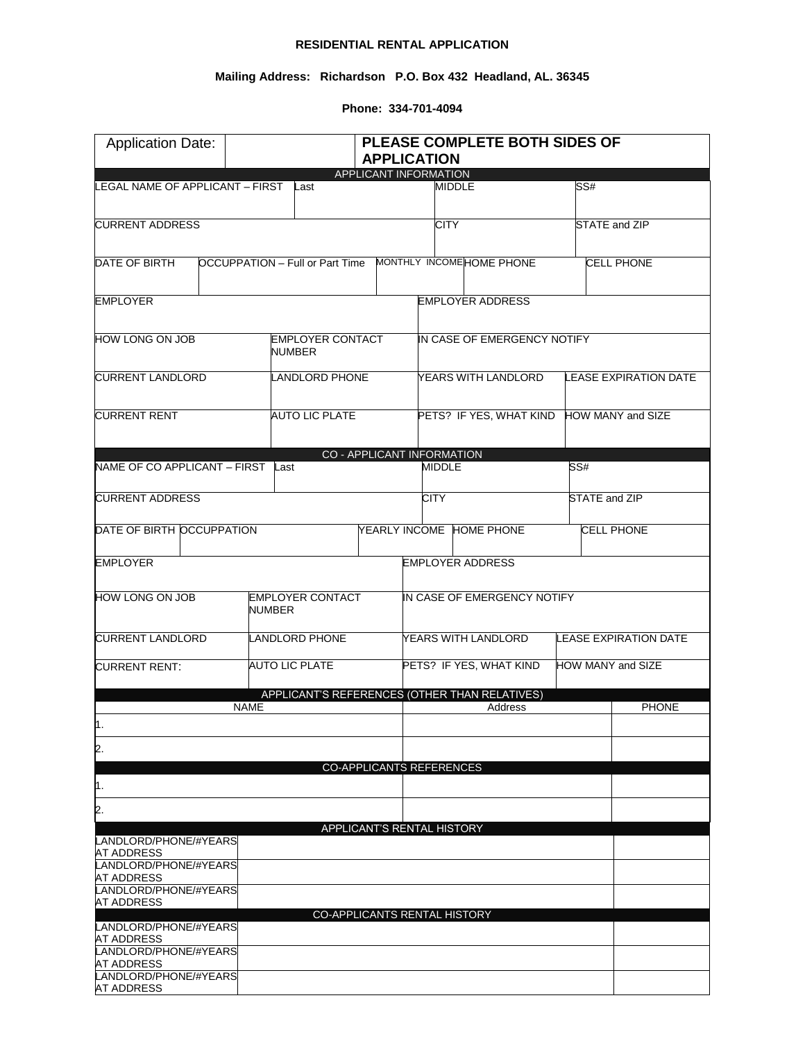## **RESIDENTIAL RENTAL APPLICATION**

## **Mailing Address: Richardson P.O. Box 432 Headland, AL. 36345**

**Phone: 334-701-4094**

| <b>Application Date:</b>                   | PLEASE COMPLETE BOTH SIDES OF<br><b>APPLICATION</b> |                         |                                           |                             |                                                          |  |                              |  |
|--------------------------------------------|-----------------------------------------------------|-------------------------|-------------------------------------------|-----------------------------|----------------------------------------------------------|--|------------------------------|--|
|                                            |                                                     |                         | APPLICANT INFORMATION                     |                             |                                                          |  |                              |  |
| LEGAL NAME OF APPLICANT - FIRST            |                                                     | Last                    |                                           |                             | <b>MIDDLE</b>                                            |  | SS#                          |  |
| <b>CURRENT ADDRESS</b>                     |                                                     |                         |                                           | <b>CITY</b>                 |                                                          |  | STATE and ZIP                |  |
| DATE OF BIRTH                              |                                                     |                         |                                           |                             | OCCUPPATION - Full or Part Time MONTHLY INCOMEHOME PHONE |  | <b>CELL PHONE</b>            |  |
| <b>EMPLOYER</b>                            |                                                     |                         |                                           |                             | <b>EMPLOYER ADDRESS</b>                                  |  |                              |  |
| HOW LONG ON JOB                            | <b>NUMBER</b>                                       | <b>EMPLOYER CONTACT</b> | IN CASE OF EMERGENCY NOTIFY               |                             |                                                          |  |                              |  |
| <b>CURRENT LANDLORD</b>                    |                                                     | LANDLORD PHONE          |                                           | YEARS WITH LANDLORD         |                                                          |  | <b>LEASE EXPIRATION DATE</b> |  |
| <b>CURRENT RENT</b><br>AUTO LIC PLATE      |                                                     |                         | PETS? IF YES, WHAT KIND HOW MANY and SIZE |                             |                                                          |  |                              |  |
|                                            |                                                     |                         | <b>CO - APPLICANT INFORMATION</b>         |                             |                                                          |  |                              |  |
| NAME OF CO APPLICANT - FIRST Last          |                                                     |                         |                                           | <b>MIDDLE</b>               |                                                          |  | SS#                          |  |
| <b>CURRENT ADDRESS</b>                     |                                                     |                         |                                           | <b>CITY</b>                 |                                                          |  | STATE and ZIP                |  |
| DATE OF BIRTH OCCUPPATION                  |                                                     |                         |                                           |                             | YEARLY INCOME HOME PHONE                                 |  | <b>CELL PHONE</b>            |  |
| <b>EMPLOYER</b>                            |                                                     |                         |                                           |                             | <b>EMPLOYER ADDRESS</b>                                  |  |                              |  |
| HOW LONG ON JOB                            | <b>EMPLOYER CONTACT</b><br><b>NUMBER</b>            |                         |                                           | IN CASE OF EMERGENCY NOTIFY |                                                          |  |                              |  |
| <b>CURRENT LANDLORD</b>                    |                                                     | LANDLORD PHONE          |                                           |                             | YEARS WITH LANDLORD                                      |  | <b>LEASE EXPIRATION DATE</b> |  |
| <b>CURRENT RENT:</b>                       | <b>AUTO LIC PLATE</b>                               |                         |                                           |                             | PETS? IF YES, WHAT KIND                                  |  | HOW MANY and SIZE            |  |
|                                            |                                                     |                         |                                           |                             | APPLICANT'S REFERENCES (OTHER THAN RELATIVES)            |  |                              |  |
| ∥.                                         | <b>NAME</b>                                         |                         |                                           |                             | Address                                                  |  | <b>PHONE</b>                 |  |
| 2.                                         |                                                     |                         |                                           |                             |                                                          |  |                              |  |
|                                            |                                                     |                         | CO-APPLICANTS REFERENCES                  |                             |                                                          |  |                              |  |
| 1.                                         |                                                     |                         |                                           |                             |                                                          |  |                              |  |
| 2.                                         |                                                     |                         | APPLICANT'S RENTAL HISTORY                |                             |                                                          |  |                              |  |
| LANDLORD/PHONE/#YEARS<br><b>AT ADDRESS</b> |                                                     |                         |                                           |                             |                                                          |  |                              |  |
| LANDLORD/PHONE/#YEARS<br>AT ADDRESS        |                                                     |                         |                                           |                             |                                                          |  |                              |  |
| LANDLORD/PHONE/#YEARS<br>AT ADDRESS        |                                                     |                         |                                           |                             |                                                          |  |                              |  |
| LANDLORD/PHONE/#YEARS                      |                                                     |                         | CO-APPLICANTS RENTAL HISTORY              |                             |                                                          |  |                              |  |
| AT ADDRESS                                 |                                                     |                         |                                           |                             |                                                          |  |                              |  |
| LANDLORD/PHONE/#YEARS<br><b>AT ADDRESS</b> |                                                     |                         |                                           |                             |                                                          |  |                              |  |
| LANDLORD/PHONE/#YEARS<br><b>AT ADDRESS</b> |                                                     |                         |                                           |                             |                                                          |  |                              |  |